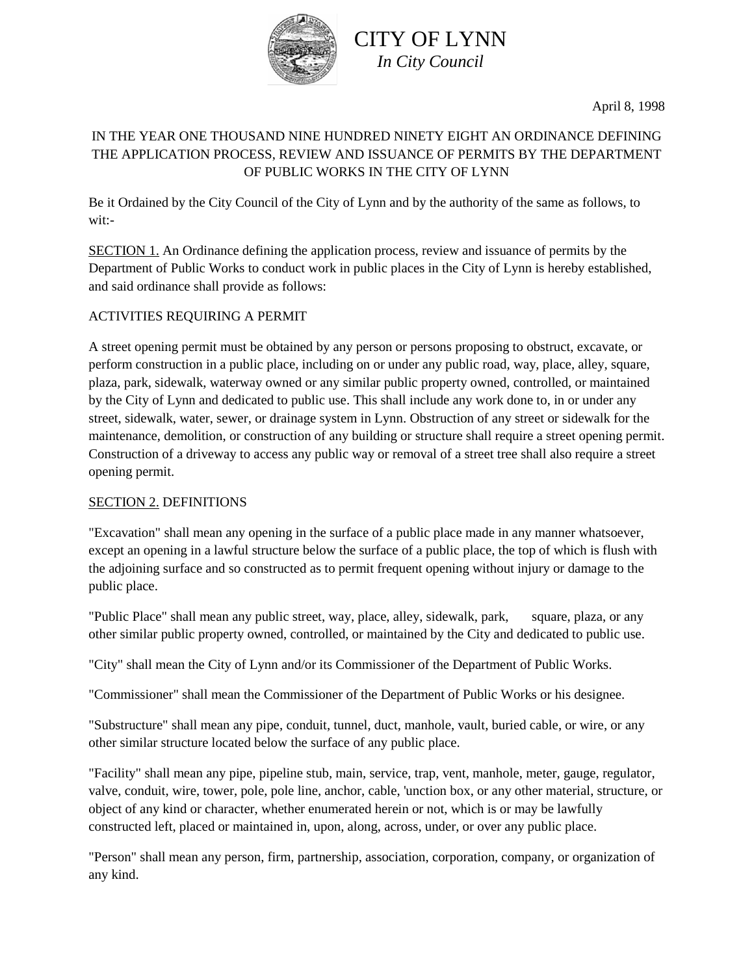

April 8, 1998

# IN THE YEAR ONE THOUSAND NINE HUNDRED NINETY EIGHT AN ORDINANCE DEFINING THE APPLICATION PROCESS, REVIEW AND ISSUANCE OF PERMITS BY THE DEPARTMENT OF PUBLIC WORKS IN THE CITY OF LYNN

Be it Ordained by the City Council of the City of Lynn and by the authority of the same as follows, to wit:-

SECTION 1. An Ordinance defining the application process, review and issuance of permits by the Department of Public Works to conduct work in public places in the City of Lynn is hereby established, and said ordinance shall provide as follows:

# ACTIVITIES REQUIRING A PERMIT

A street opening permit must be obtained by any person or persons proposing to obstruct, excavate, or perform construction in a public place, including on or under any public road, way, place, alley, square, plaza, park, sidewalk, waterway owned or any similar public property owned, controlled, or maintained by the City of Lynn and dedicated to public use. This shall include any work done to, in or under any street, sidewalk, water, sewer, or drainage system in Lynn. Obstruction of any street or sidewalk for the maintenance, demolition, or construction of any building or structure shall require a street opening permit. Construction of a driveway to access any public way or removal of a street tree shall also require a street opening permit.

## SECTION 2. DEFINITIONS

"Excavation" shall mean any opening in the surface of a public place made in any manner whatsoever, except an opening in a lawful structure below the surface of a public place, the top of which is flush with the adjoining surface and so constructed as to permit frequent opening without injury or damage to the public place.

"Public Place" shall mean any public street, way, place, alley, sidewalk, park, square, plaza, or any other similar public property owned, controlled, or maintained by the City and dedicated to public use.

"City" shall mean the City of Lynn and/or its Commissioner of the Department of Public Works.

"Commissioner" shall mean the Commissioner of the Department of Public Works or his designee.

"Substructure" shall mean any pipe, conduit, tunnel, duct, manhole, vault, buried cable, or wire, or any other similar structure located below the surface of any public place.

"Facility" shall mean any pipe, pipeline stub, main, service, trap, vent, manhole, meter, gauge, regulator, valve, conduit, wire, tower, pole, pole line, anchor, cable, 'unction box, or any other material, structure, or object of any kind or character, whether enumerated herein or not, which is or may be lawfully constructed left, placed or maintained in, upon, along, across, under, or over any public place.

"Person" shall mean any person, firm, partnership, association, corporation, company, or organization of any kind.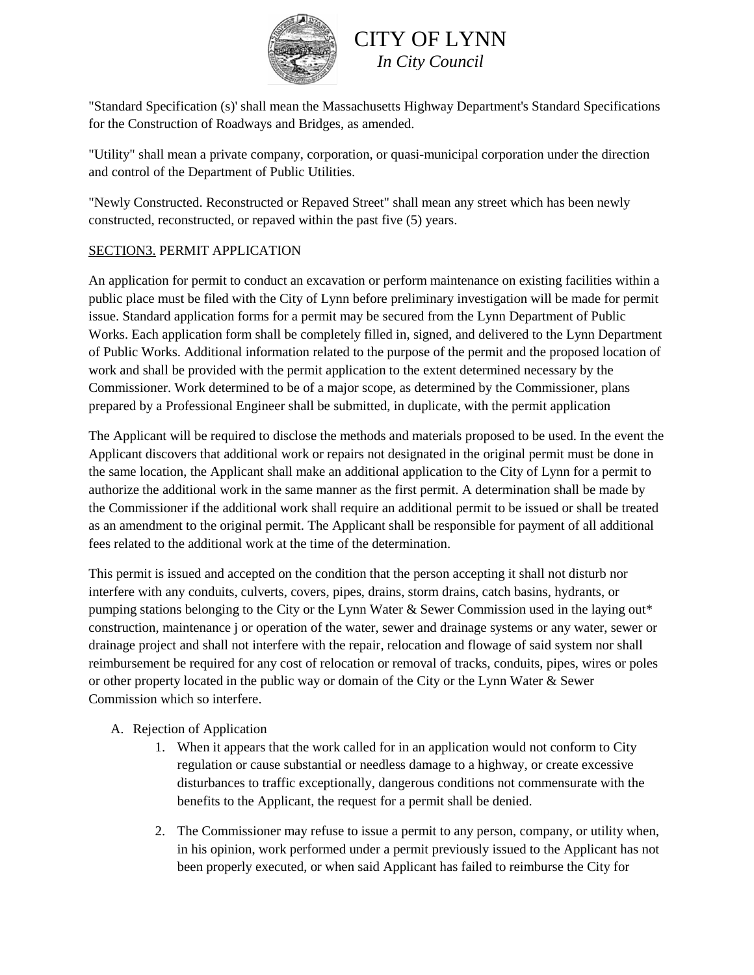

"Standard Specification (s)' shall mean the Massachusetts Highway Department's Standard Specifications for the Construction of Roadways and Bridges, as amended.

"Utility" shall mean a private company, corporation, or quasi-municipal corporation under the direction and control of the Department of Public Utilities.

"Newly Constructed. Reconstructed or Repaved Street" shall mean any street which has been newly constructed, reconstructed, or repaved within the past five (5) years.

# SECTION3. PERMIT APPLICATION

An application for permit to conduct an excavation or perform maintenance on existing facilities within a public place must be filed with the City of Lynn before preliminary investigation will be made for permit issue. Standard application forms for a permit may be secured from the Lynn Department of Public Works. Each application form shall be completely filled in, signed, and delivered to the Lynn Department of Public Works. Additional information related to the purpose of the permit and the proposed location of work and shall be provided with the permit application to the extent determined necessary by the Commissioner. Work determined to be of a major scope, as determined by the Commissioner, plans prepared by a Professional Engineer shall be submitted, in duplicate, with the permit application

The Applicant will be required to disclose the methods and materials proposed to be used. In the event the Applicant discovers that additional work or repairs not designated in the original permit must be done in the same location, the Applicant shall make an additional application to the City of Lynn for a permit to authorize the additional work in the same manner as the first permit. A determination shall be made by the Commissioner if the additional work shall require an additional permit to be issued or shall be treated as an amendment to the original permit. The Applicant shall be responsible for payment of all additional fees related to the additional work at the time of the determination.

This permit is issued and accepted on the condition that the person accepting it shall not disturb nor interfere with any conduits, culverts, covers, pipes, drains, storm drains, catch basins, hydrants, or pumping stations belonging to the City or the Lynn Water & Sewer Commission used in the laying out\* construction, maintenance j or operation of the water, sewer and drainage systems or any water, sewer or drainage project and shall not interfere with the repair, relocation and flowage of said system nor shall reimbursement be required for any cost of relocation or removal of tracks, conduits, pipes, wires or poles or other property located in the public way or domain of the City or the Lynn Water & Sewer Commission which so interfere.

## A. Rejection of Application

- 1. When it appears that the work called for in an application would not conform to City regulation or cause substantial or needless damage to a highway, or create excessive disturbances to traffic exceptionally, dangerous conditions not commensurate with the benefits to the Applicant, the request for a permit shall be denied.
- 2. The Commissioner may refuse to issue a permit to any person, company, or utility when, in his opinion, work performed under a permit previously issued to the Applicant has not been properly executed, or when said Applicant has failed to reimburse the City for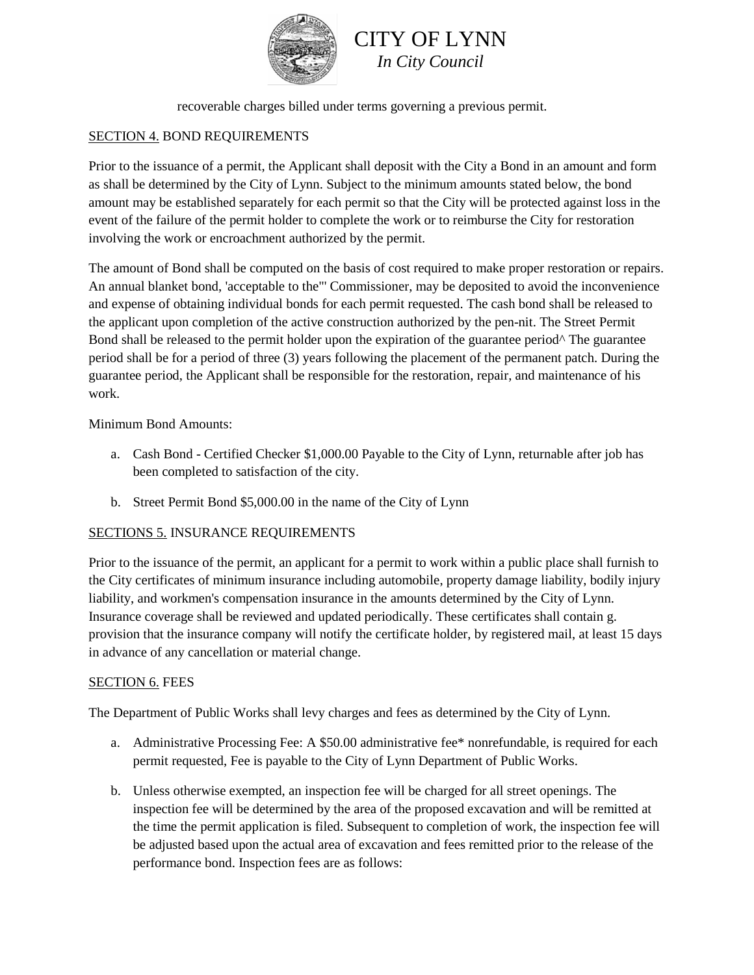



recoverable charges billed under terms governing a previous permit.

# SECTION 4. BOND REQUIREMENTS

Prior to the issuance of a permit, the Applicant shall deposit with the City a Bond in an amount and form as shall be determined by the City of Lynn. Subject to the minimum amounts stated below, the bond amount may be established separately for each permit so that the City will be protected against loss in the event of the failure of the permit holder to complete the work or to reimburse the City for restoration involving the work or encroachment authorized by the permit.

The amount of Bond shall be computed on the basis of cost required to make proper restoration or repairs. An annual blanket bond, 'acceptable to the"' Commissioner, may be deposited to avoid the inconvenience and expense of obtaining individual bonds for each permit requested. The cash bond shall be released to the applicant upon completion of the active construction authorized by the pen-nit. The Street Permit Bond shall be released to the permit holder upon the expiration of the guarantee period^ The guarantee period shall be for a period of three (3) years following the placement of the permanent patch. During the guarantee period, the Applicant shall be responsible for the restoration, repair, and maintenance of his work.

Minimum Bond Amounts:

- a. Cash Bond Certified Checker \$1,000.00 Payable to the City of Lynn, returnable after job has been completed to satisfaction of the city.
- b. Street Permit Bond \$5,000.00 in the name of the City of Lynn

## SECTIONS 5. INSURANCE REQUIREMENTS

Prior to the issuance of the permit, an applicant for a permit to work within a public place shall furnish to the City certificates of minimum insurance including automobile, property damage liability, bodily injury liability, and workmen's compensation insurance in the amounts determined by the City of Lynn. Insurance coverage shall be reviewed and updated periodically. These certificates shall contain g. provision that the insurance company will notify the certificate holder, by registered mail, at least 15 days in advance of any cancellation or material change.

#### SECTION 6. FEES

The Department of Public Works shall levy charges and fees as determined by the City of Lynn.

- a. Administrative Processing Fee: A \$50.00 administrative fee\* nonrefundable, is required for each permit requested, Fee is payable to the City of Lynn Department of Public Works.
- b. Unless otherwise exempted, an inspection fee will be charged for all street openings. The inspection fee will be determined by the area of the proposed excavation and will be remitted at the time the permit application is filed. Subsequent to completion of work, the inspection fee will be adjusted based upon the actual area of excavation and fees remitted prior to the release of the performance bond. Inspection fees are as follows: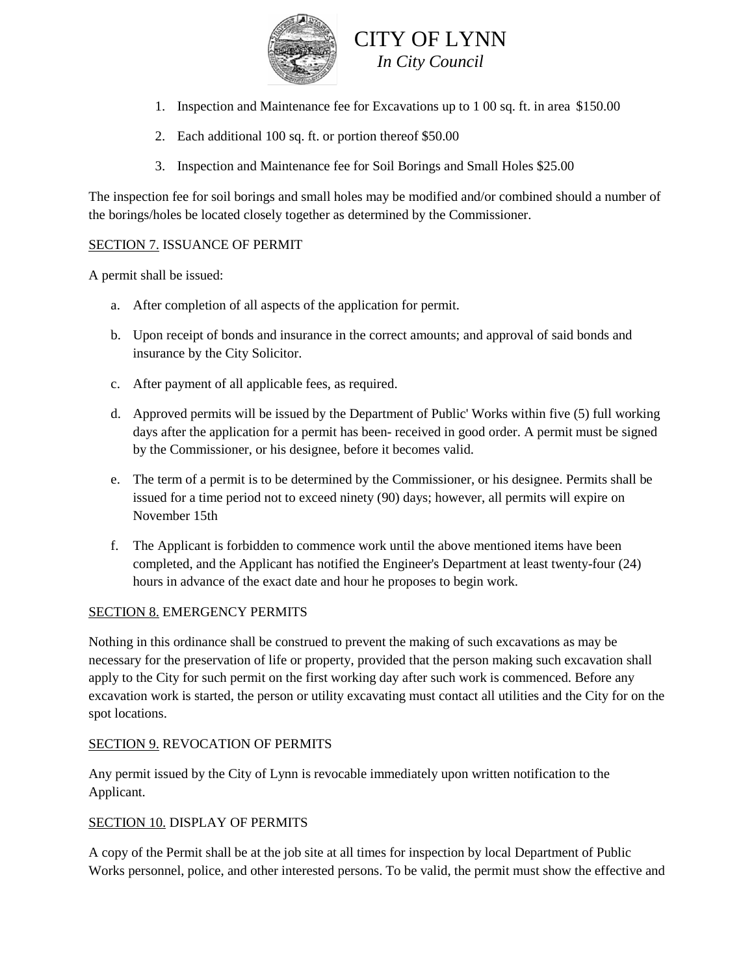

- 1. Inspection and Maintenance fee for Excavations up to 1 00 sq. ft. in area \$150.00
- 2. Each additional 100 sq. ft. or portion thereof \$50.00
- 3. Inspection and Maintenance fee for Soil Borings and Small Holes \$25.00

The inspection fee for soil borings and small holes may be modified and/or combined should a number of the borings/holes be located closely together as determined by the Commissioner.

## SECTION 7. ISSUANCE OF PERMIT

A permit shall be issued:

- a. After completion of all aspects of the application for permit.
- b. Upon receipt of bonds and insurance in the correct amounts; and approval of said bonds and insurance by the City Solicitor.
- c. After payment of all applicable fees, as required.
- d. Approved permits will be issued by the Department of Public' Works within five (5) full working days after the application for a permit has been- received in good order. A permit must be signed by the Commissioner, or his designee, before it becomes valid.
- e. The term of a permit is to be determined by the Commissioner, or his designee. Permits shall be issued for a time period not to exceed ninety (90) days; however, all permits will expire on November 15th
- f. The Applicant is forbidden to commence work until the above mentioned items have been completed, and the Applicant has notified the Engineer's Department at least twenty-four (24) hours in advance of the exact date and hour he proposes to begin work.

#### SECTION 8. EMERGENCY PERMITS

Nothing in this ordinance shall be construed to prevent the making of such excavations as may be necessary for the preservation of life or property, provided that the person making such excavation shall apply to the City for such permit on the first working day after such work is commenced. Before any excavation work is started, the person or utility excavating must contact all utilities and the City for on the spot locations.

## SECTION 9. REVOCATION OF PERMITS

Any permit issued by the City of Lynn is revocable immediately upon written notification to the Applicant.

## SECTION 10. DISPLAY OF PERMITS

A copy of the Permit shall be at the job site at all times for inspection by local Department of Public Works personnel, police, and other interested persons. To be valid, the permit must show the effective and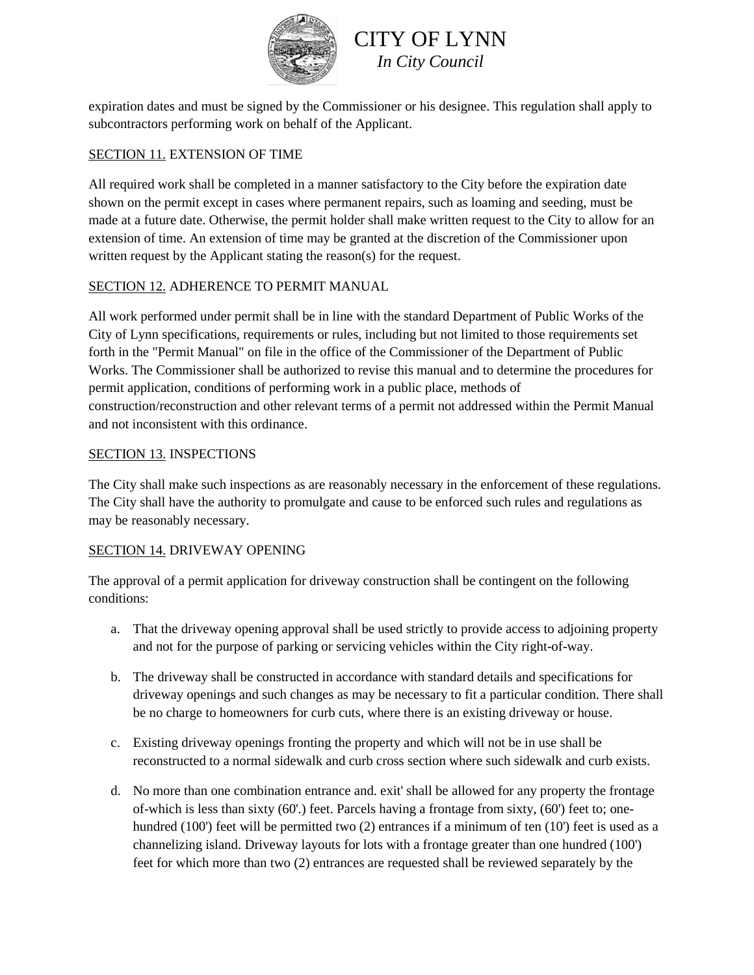

expiration dates and must be signed by the Commissioner or his designee. This regulation shall apply to subcontractors performing work on behalf of the Applicant.

## SECTION 11. EXTENSION OF TIME

All required work shall be completed in a manner satisfactory to the City before the expiration date shown on the permit except in cases where permanent repairs, such as loaming and seeding, must be made at a future date. Otherwise, the permit holder shall make written request to the City to allow for an extension of time. An extension of time may be granted at the discretion of the Commissioner upon written request by the Applicant stating the reason(s) for the request.

## SECTION 12. ADHERENCE TO PERMIT MANUAL

All work performed under permit shall be in line with the standard Department of Public Works of the City of Lynn specifications, requirements or rules, including but not limited to those requirements set forth in the "Permit Manual" on file in the office of the Commissioner of the Department of Public Works. The Commissioner shall be authorized to revise this manual and to determine the procedures for permit application, conditions of performing work in a public place, methods of construction/reconstruction and other relevant terms of a permit not addressed within the Permit Manual and not inconsistent with this ordinance.

## SECTION 13. INSPECTIONS

The City shall make such inspections as are reasonably necessary in the enforcement of these regulations. The City shall have the authority to promulgate and cause to be enforced such rules and regulations as may be reasonably necessary.

## SECTION 14. DRIVEWAY OPENING

The approval of a permit application for driveway construction shall be contingent on the following conditions:

- a. That the driveway opening approval shall be used strictly to provide access to adjoining property and not for the purpose of parking or servicing vehicles within the City right-of-way.
- b. The driveway shall be constructed in accordance with standard details and specifications for driveway openings and such changes as may be necessary to fit a particular condition. There shall be no charge to homeowners for curb cuts, where there is an existing driveway or house.
- c. Existing driveway openings fronting the property and which will not be in use shall be reconstructed to a normal sidewalk and curb cross section where such sidewalk and curb exists.
- d. No more than one combination entrance and. exit' shall be allowed for any property the frontage of-which is less than sixty (60'.) feet. Parcels having a frontage from sixty, (60') feet to; onehundred (100') feet will be permitted two (2) entrances if a minimum of ten (10') feet is used as a channelizing island. Driveway layouts for lots with a frontage greater than one hundred (100') feet for which more than two (2) entrances are requested shall be reviewed separately by the